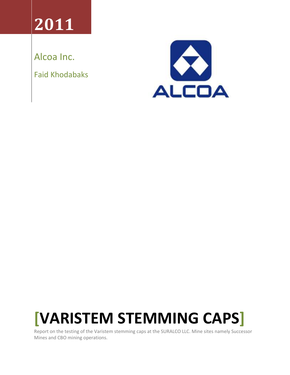# **2011**

Alcoa Inc.

Faid Khodabaks



# **[VARISTEM STEMMING CAPS]**

Report on the testing of the Varistem stemming caps at the SURALCO LLC. Mine sites namely Successor Mines and CBO mining operations.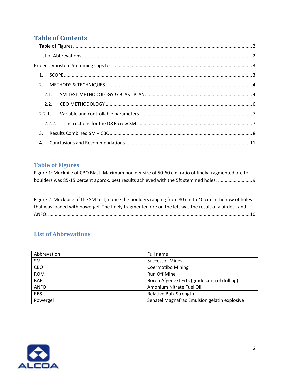# **Table of Contents**

| 1 <sub>1</sub> |  |
|----------------|--|
| 2.             |  |
| 2.1.           |  |
| 2.2.           |  |
| 2.2.1.         |  |
| 222            |  |
| 3.             |  |
| 4.             |  |

#### <span id="page-1-0"></span>**Table of Figures**

Figure 1: Muckpile of CBO Blast. Maximum boulder size of 50-60 cm, ratio of finely fragmented ore to boulders was 85-15 percent approx. best results achieved with the 5ft stemmed holes. ..........................9

Figure 2: Muck pile of the SM test, notice the boulders ranging from 80 cm to 40 cm in the row of holes that was loaded with powergel. The finely fragmented ore on the left was the result of a airdeck and ANFO. ..........................................................................................................................................................10

## <span id="page-1-1"></span>**List of Abbrevations**

| Abbrevation | Full name                                    |
|-------------|----------------------------------------------|
| <b>SM</b>   | <b>Successor Mines</b>                       |
| CBO         | <b>Coermotibo Mining</b>                     |
| <b>ROM</b>  | Run Off Mine                                 |
| <b>BAE</b>  | Boren Afgedekt Erts (grade control drilling) |
| <b>ANFO</b> | Amonium Nitrate Fuel Oil                     |
| <b>RBS</b>  | <b>Relative Bulk Strength</b>                |
| Powergel    | Senatel Magnafrac Emulsion gelatin explosive |

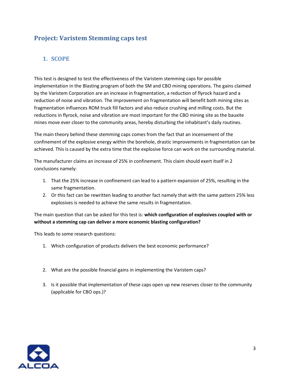# <span id="page-2-0"></span>**Project: Varistem Stemming caps test**

## <span id="page-2-1"></span>**1. SCOPE**

This test is designed to test the effectiveness of the Varistem stemming caps for possible implementation in the Blasting program of both the SM and CBO mining operations. The gains claimed by the Varistem Corporation are an increase in fragmentation, a reduction of flyrock hazard and a reduction of noise and vibration. The improvement on fragmentation will benefit both mining sites as fragmentation influences ROM truck fill factors and also reduce crushing and milling costs. But the reductions in flyrock, noise and vibration are most important for the CBO mining site as the bauxite mines move ever closer to the community areas, hereby disturbing the inhabitant's daily routines.

The main theory behind these stemming caps comes from the fact that an incensement of the confinement of the explosive energy within the borehole, drastic improvements in fragmentation can be achieved. This is caused by the extra time that the explosive force can work on the surrounding material.

The manufacturer claims an increase of 25% in confinement. This claim should exert itself in 2 conclusions namely:

- 1. That the 25% increase in confinement can lead to a pattern expansion of 25%, resulting in the same fragmentation.
- 2. Or this fact can be rewritten leading to another fact namely that with the same pattern 25% less explosives is needed to achieve the same results in fragmentation.

The main question that can be asked for this test is: **which configuration of explosives coupled with or without a stemming cap can deliver a more economic blasting configuration?**

This leads to some research questions:

- 1. Which configuration of products delivers the best economic performance?
- 2. What are the possible financial gains in implementing the Varistem caps?
- 3. Is it possible that implementation of these caps open up new reserves closer to the community (applicable for CBO ops.)?

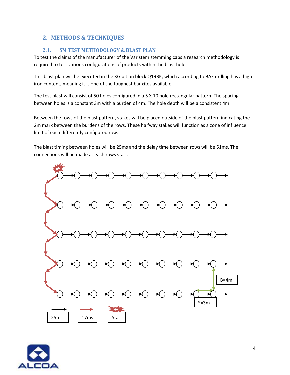### <span id="page-3-0"></span>**2. METHODS & TECHNIQUES**

#### <span id="page-3-1"></span>**2.1. SM TEST METHODOLOGY & BLAST PLAN**

To test the claims of the manufacturer of the Varistem stemming caps a research methodology is required to test various configurations of products within the blast hole.

This blast plan will be executed in the KG pit on block Q19BK, which according to BAE drilling has a high iron content, meaning it is one of the toughest bauxites available.

The test blast will consist of 50 holes configured in a 5 X 10 hole rectangular pattern. The spacing between holes is a constant 3m with a burden of 4m. The hole depth will be a consistent 4m.

Between the rows of the blast pattern, stakes will be placed outside of the blast pattern indicating the 2m mark between the burdens of the rows. These halfway stakes will function as a zone of influence limit of each differently configured row.

The blast timing between holes will be 25ms and the delay time between rows will be 51ms. The connections will be made at each rows start.



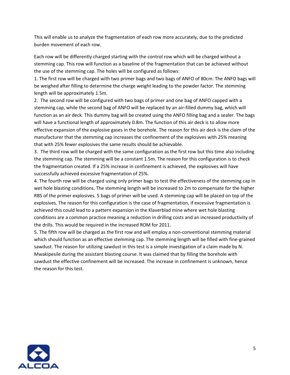This will enable us to analyze the fragmentation of each row more accurately, due to the predicted burden movement of each row.

Each row will be differently charged starting with the control row which will be charged without a stemming cap. This row will function as a baseline of the fragmentation that can be achieved without the use of the stemming cap. The holes will be configured as follows:

1. The first row will be charged with two primer bags and two bags of ANFO of 80cm. The ANFO bags will be weighed after filling to determine the charge weight leading to the powder factor. The stemming length will be approximately 1.5m.

2. The second row will be configured with two bags of primer and one bag of ANFO capped with a stemming cap, while the second bag of ANFO will be replaced by an air-filled dummy bag, which will function as an air deck. This dummy bag will be created using the ANFO filling bag and a sealer. The bags will have a functional length of approximately 0.8m. The function of this air deck is to allow more effective expansion of the explosive gases in the borehole. The reason for this air deck is the claim of the manufacturer that the stemming cap increases the confinement of the explosives with 25% meaning that with 25% fewer explosives the same results should be achievable.

3. The third row will be charged with the same configuration as the first row but this time also including the stemming cap. The stemming will be a constant 1.5m. The reason for this configuration is to check the fragmentation created. If a 25% increase in confinement is achieved, the explosives will have successfully achieved excessive fragmentation of 25%.

4. The fourth row will be charged using only primer bags to test the effectiveness of the stemming cap in wet hole blasting conditions. The stemming length will be increased to 2m to compensate for the higher RBS of the primer explosives. 5 bags of primer will be used. A stemming cap will be placed on top of the explosives. The reason for this configuration is the case of fragmentation, if excessive fragmentation is achieved this could lead to a pattern expansion in the Klaverblad mine where wet hole blasting conditions are a common practice meaning a reduction in drilling costs and an increased productivity of the drills. This would be required in the increased ROM for 2011.

5. The fifth row will be charged as the first row and will employ a non-conventional stemming material which should function as an effective stemming cap. The stemming length will be filled with fine-grained sawdust. The reason for utilizing sawdust in this test is a simple investigation of a claim made by N. Mwakipesile during the assistant blasting course. It was claimed that by filling the borehole with sawdust the effective confinement will be increased. The increase in confinement is unknown, hence the reason for this test.

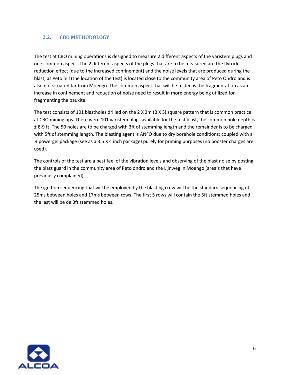#### <span id="page-5-0"></span>**2.2. CBO METHODOLOGY**

The test at CBO mining operations is designed to measure 2 different aspects of the varistem plugs and one common aspect. The 2 different aspects of the plugs that are to be measured are the flyrock reduction effect (due to the increased confinement) and the noise levels that are produced during the blast, as Peto hill (the location of the test) is located close to the community area of Peto Ondro and is also not situated far from Moengo. The common aspect that will be tested is the fragmentation as an increase in confinement and reduction of noise need to result in more energy being utilized for fragmenting the bauxite.

The test consists of 101 blastholes drilled on the 2 X 2m (B X S) square pattern that is common practice at CBO mining ops. There were 101 varistem plugs available for the test blast, the common hole depth is ± 8-9 ft. The 50 holes are to be charged with 3ft of stemming length and the remainder is to be charged with 5ft of stemming length. The blasting agent is ANFO due to dry borehole conditions; coupled with a ¼ powergel package (see as a 3.5 X 4 inch package) purely for priming purposes (no booster charges are used).

The controls of the test are a best feel of the vibration levels and observing of the blast noise by posting the blast guard in the community area of Peto ondro and the Lijnweg in Moengo (area's that have previously complained).

The ignition sequencing that will be employed by the blasting crew will be the standard sequencing of 25ms between holes and 17ms between rows. The first 5 rows will contain the 5ft stemmed holes and the last will be de 3ft stemmed holes.

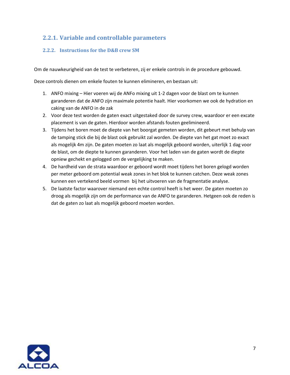## <span id="page-6-0"></span>**2.2.1. Variable and controllable parameters**

#### <span id="page-6-1"></span>**2.2.2. Instructions for the D&B crew SM**

Om de nauwkeurigheid van de test te verbeteren, zij er enkele controls in de procedure gebouwd.

Deze controls dienen om enkele fouten te kunnen elimineren, en bestaan uit:

- 1. ANFO mixing Hier voeren wij de ANFo mixing uit 1-2 dagen voor de blast om te kunnen garanderen dat de ANFO zijn maximale potentie haalt. Hier voorkomen we ook de hydration en caking van de ANFO in de zak
- 2. Voor deze test worden de gaten exact uitgestaked door de survey crew, waardoor er een excate placement is van de gaten. Hierdoor worden afstands fouten geelimineerd.
- 3. Tijdens het boren moet de diepte van het boorgat gemeten worden, dit gebeurt met behulp van de tamping stick die bij de blast ook gebruikt zal worden. De diepte van het gat moet zo exact als mogelijk 4m zijn. De gaten moeten zo laat als mogelijk geboord worden, uiterlijk 1 dag voor de blast, om de diepte te kunnen garanderen. Voor het laden van de gaten wordt de diepte opniew gechekt en gelogged om de vergelijking te maken.
- 4. De hardheid van de strata waardoor er geboord wordt moet tijdens het boren gelogd worden per meter geboord om potential weak zones in het blok te kunnen catchen. Deze weak zones kunnen een vertekend beeld vormen bij het uitvoeren van de fragmentatie analyse.
- 5. De laatste factor waarover niemand een echte control heeft is het weer. De gaten moeten zo droog als mogelijk zijn om de performance van de ANFO te garanderen. Hetgeen ook de reden is dat de gaten zo laat als mogelijk geboord moeten worden.

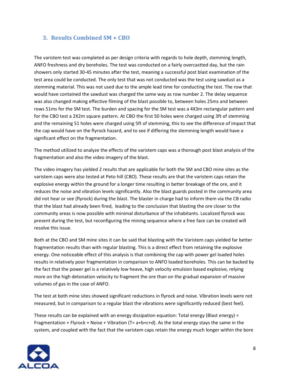#### <span id="page-7-0"></span>**3. Results Combined SM + CBO**

The varistem test was completed as per design criteria with regards to hole depth, stemming length, ANFO freshness and dry boreholes. The test was conducted on a fairly overcastted day, but the rain showers only started 30-45 minutes after the test, meaning a successful post blast examination of the test area could be conducted. The only test that was not conducted was the test using sawdust as a stemming material. This was not used due to the ample lead time for conducting the test. The row that would have contained the sawdust was charged the same way as row number 2. The delay sequence was also changed making effective filming of the blast possible to, between holes 25ms and between rows 51ms for the SM test. The burden and spacing for the SM test was a 4X3m rectangular pattern and for the CBO test a 2X2m square pattern. At CBO the first 50 holes were charged using 3ft of stemming and the remaining 51 holes were charged using 5ft of stemming, this to see the difference of impact that the cap would have on the flyrock hazard, and to see if differing the stemming length would have a significant effect on the fragmentation.

The method utilized to analyze the effects of the varistem caps was a thorough post blast analysis of the fragmentation and also the video imagery of the blast.

The video imagery has yielded 2 results that are applicable for both the SM and CBO mine sites as the varistem caps were also tested at Peto hill (CBO). These results are that the varistem caps retain the explosive energy within the ground for a longer time resulting in better breakage of the ore, and it reduces the noise and vibration levels significantly. Also the blast guards posted in the community area did not hear or see (flyrock) during the blast. The blaster in charge had to inform them via the CB radio that the blast had already been fired, leading to the conclusion that blasting the ore closer to the community areas is now possible with minimal disturbance of the inhabitants. Localized flyrock was present during the test, but reconfiguring the mining sequence where a free face can be created will resolve this issue.

Both at the CBO and SM mine sites it can be said that blasting with the Varistem caps yielded far better fragmentation results than with regular blasting. This is a direct effect from retaining the explosive energy. One noticeable effect of this analysis is that combining the cap with power gel loaded holes results in relatively poor fragmentation in comparison to ANFO loaded boreholes. This can be backed by the fact that the power gel is a relatively low heave, high velocity emulsion based explosive, relying more on the high detonation velocity to fragment the ore than on the gradual expansion of massive volumes of gas in the case of ANFO.

The test at both mine sites showed significant reductions in flyrock and noise. Vibration levels were not measured, but in comparison to a regular blast the vibrations were significantly reduced (best feel).

These results can be explained with an energy dissipation equation: Total energy (Blast energy) = Fragmentation + Flyrock + Noise + Vibration (T=  $a+b+c+d$ ). As the total energy stays the same in the system, and coupled with the fact that the varistem caps retain the energy much longer within the bore

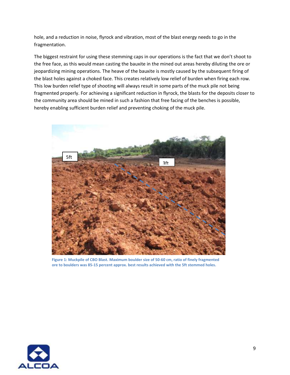hole, and a reduction in noise, flyrock and vibration, most of the blast energy needs to go in the fragmentation.

The biggest restraint for using these stemming caps in our operations is the fact that we don't shoot to the free face, as this would mean casting the bauxite in the mined out areas hereby diluting the ore or jeopardizing mining operations. The heave of the bauxite is mostly caused by the subsequent firing of the blast holes against a choked face. This creates relatively low relief of burden when firing each row. This low burden relief type of shooting will always result in some parts of the muck pile not being fragmented properly. For achieving a significant reduction in flyrock, the blasts for the deposits closer to the community area should be mined in such a fashion that free facing of the benches is possible, hereby enabling sufficient burden relief and preventing choking of the muck pile.



**Figure 1: Muckpile of CBO Blast. Maximum boulder size of 50-60 cm, ratio of finely fragmented ore to boulders was 85-15 percent approx. best results achieved with the 5ft stemmed holes.**

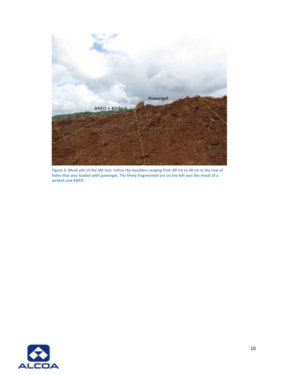

**Figure 2: Muck pile of the SM test, notice the boulders ranging from 80 cm to 40 cm in the row of holes that was loaded with powergel. The finely fragmented ore on the left was the result of a airdeck and ANFO.**